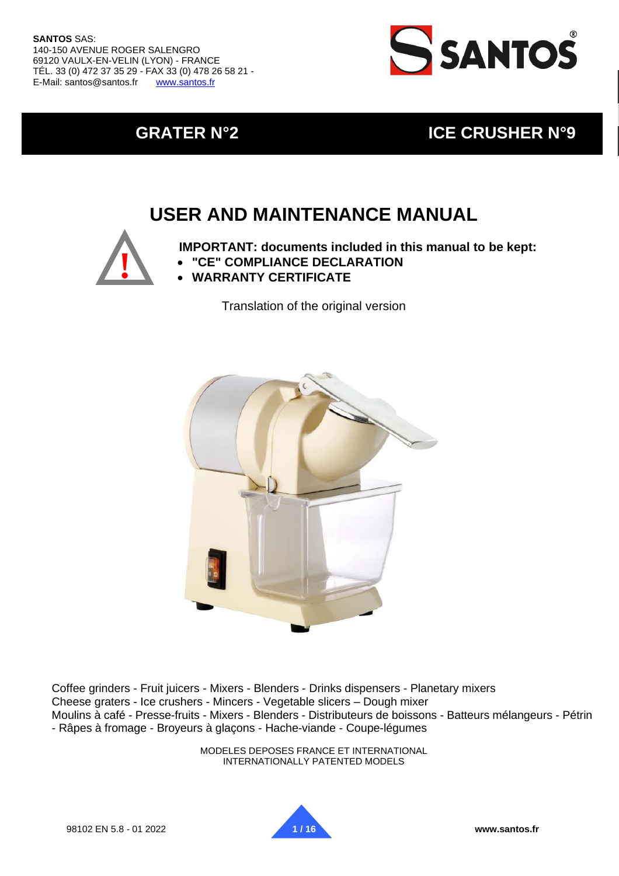

## **GRATER N°2 ICE CRUSHER N°9**

## **USER AND MAINTENANCE MANUAL**



**IMPORTANT: documents included in this manual to be kept:**

- **"CE" COMPLIANCE DECLARATION**
- **WARRANTY CERTIFICATE**

Translation of the original version



Coffee grinders - Fruit juicers - Mixers - Blenders - Drinks dispensers - Planetary mixers Cheese graters - Ice crushers - Mincers - Vegetable slicers – Dough mixer Moulins à café - Presse-fruits - Mixers - Blenders - Distributeurs de boissons - Batteurs mélangeurs - Pétrin - Râpes à fromage - Broyeurs à glaçons - Hache-viande - Coupe-légumes

> MODELES DEPOSES FRANCE ET INTERNATIONAL INTERNATIONALLY PATENTED MODELS

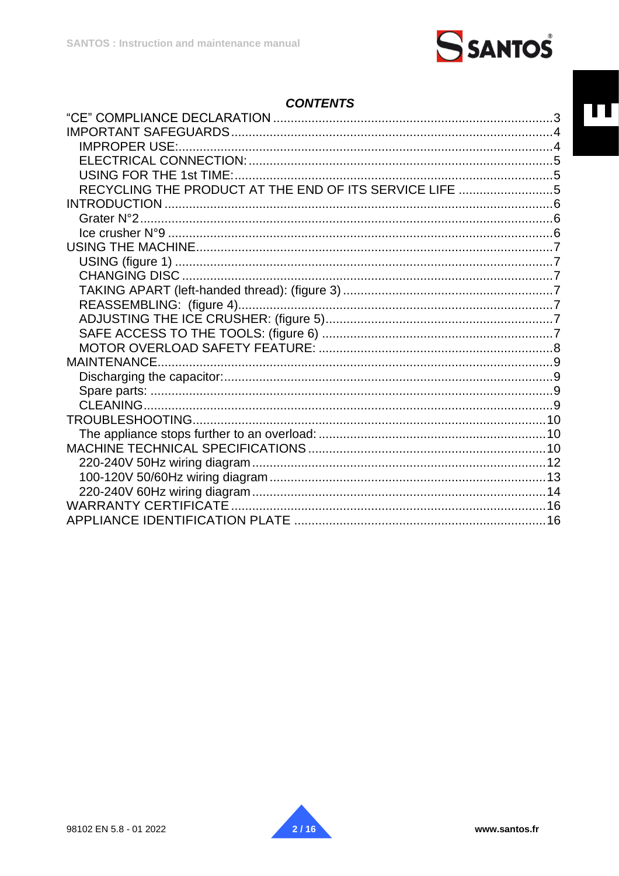

## **CONTENTS**

| <b>IMPROPER USE:.</b>                                  |  |
|--------------------------------------------------------|--|
|                                                        |  |
|                                                        |  |
| RECYCLING THE PRODUCT AT THE END OF ITS SERVICE LIFE 5 |  |
|                                                        |  |
|                                                        |  |
|                                                        |  |
|                                                        |  |
|                                                        |  |
|                                                        |  |
|                                                        |  |
|                                                        |  |
|                                                        |  |
|                                                        |  |
|                                                        |  |
|                                                        |  |
|                                                        |  |
|                                                        |  |
|                                                        |  |
|                                                        |  |
|                                                        |  |
|                                                        |  |
|                                                        |  |
|                                                        |  |
|                                                        |  |
|                                                        |  |
|                                                        |  |

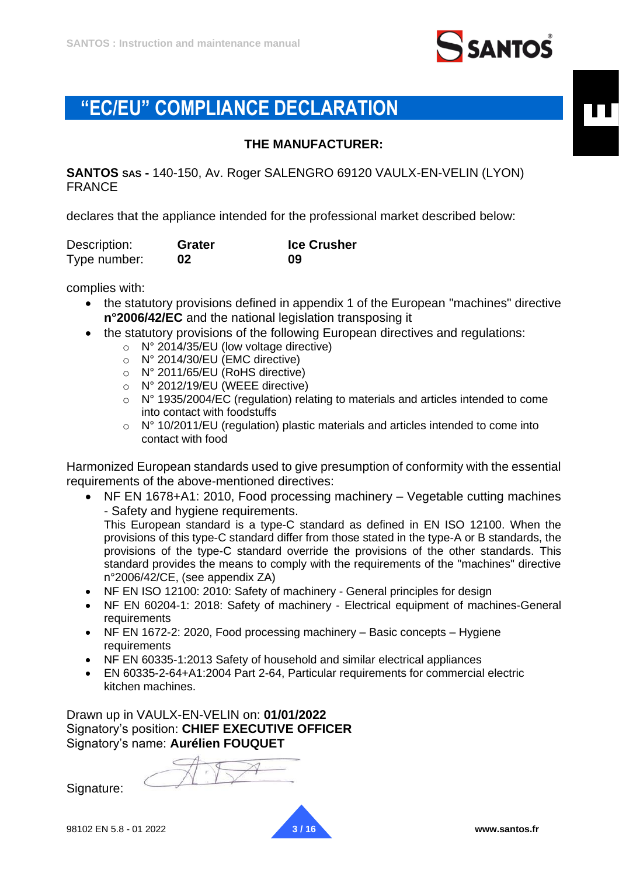

## <span id="page-2-0"></span>**"EC/EU" COMPLIANCE DECLARATION**

#### **THE MANUFACTURER:**

**SANTOS SAS -** 140-150, Av. Roger SALENGRO 69120 VAULX-EN-VELIN (LYON) FRANCE

declares that the appliance intended for the professional market described below:

| Description: | Grater | <b>Ice Crusher</b> |
|--------------|--------|--------------------|
| Type number: | 02     | 09                 |

complies with:

- the statutory provisions defined in appendix 1 of the European "machines" directive **n°2006/42/EC** and the national legislation transposing it
- the statutory provisions of the following European directives and regulations:
	- o N° 2014/35/EU (low voltage directive)
	- o N° 2014/30/EU (EMC directive)
	- o N° 2011/65/EU (RoHS directive)
	- o N° 2012/19/EU (WEEE directive)
	- o N° 1935/2004/EC (regulation) relating to materials and articles intended to come into contact with foodstuffs
	- $\circ$  N° 10/2011/EU (regulation) plastic materials and articles intended to come into contact with food

Harmonized European standards used to give presumption of conformity with the essential requirements of the above-mentioned directives:

• NF EN 1678+A1: 2010, Food processing machinery – Vegetable cutting machines - Safety and hygiene requirements.

This European standard is a type-C standard as defined in EN ISO 12100. When the provisions of this type-C standard differ from those stated in the type-A or B standards, the provisions of the type-C standard override the provisions of the other standards. This standard provides the means to comply with the requirements of the "machines" directive n°2006/42/CE, (see appendix ZA)

- NF EN ISO 12100: 2010: Safety of machinery General principles for design
- NF EN 60204-1: 2018: Safety of machinery Electrical equipment of machines-General requirements
- NF EN 1672-2: 2020, Food processing machinery Basic concepts Hygiene requirements
- NF EN 60335-1:2013 Safety of household and similar electrical appliances
- EN 60335-2-64+A1:2004 Part 2-64, Particular requirements for commercial electric kitchen machines.

Drawn up in VAULX-EN-VELIN on: **01/01/2022** Signatory's position: **CHIEF EXECUTIVE OFFICER** Signatory's name: **Aurélien FOUQUET**

Signature:

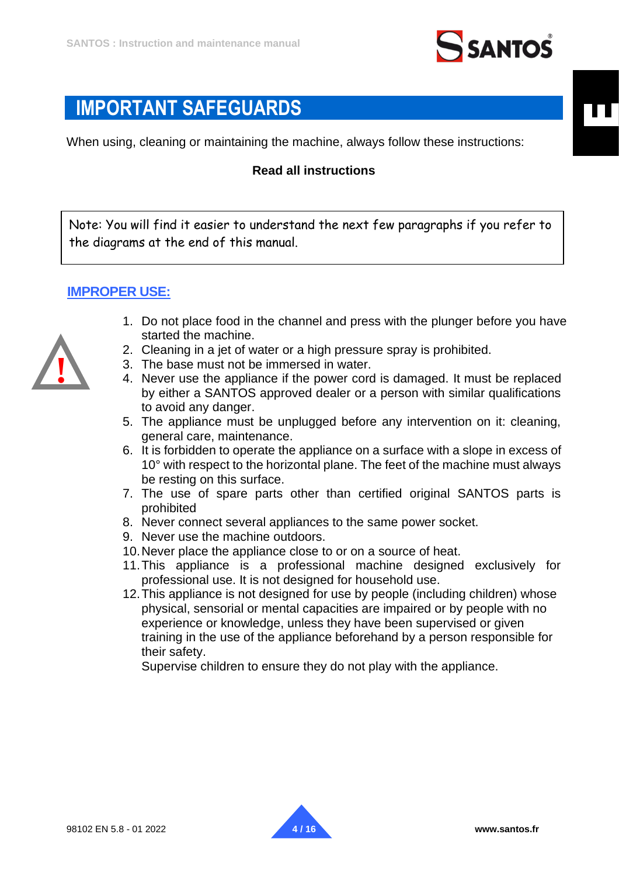

## <span id="page-3-0"></span>**IMPORTANT SAFEGUARDS**

When using, cleaning or maintaining the machine, always follow these instructions:

#### **Read all instructions**

Note: You will find it easier to understand the next few paragraphs if you refer to the diagrams at the end of this manual.

#### <span id="page-3-1"></span>**IMPROPER USE:**



- 1. Do not place food in the channel and press with the plunger before you have started the machine.
- 2. Cleaning in a jet of water or a high pressure spray is prohibited.
- 3. The base must not be immersed in water.
- 4. Never use the appliance if the power cord is damaged. It must be replaced by either a SANTOS approved dealer or a person with similar qualifications to avoid any danger.
- 5. The appliance must be unplugged before any intervention on it: cleaning, general care, maintenance.
- 6. It is forbidden to operate the appliance on a surface with a slope in excess of 10° with respect to the horizontal plane. The feet of the machine must always be resting on this surface.
- 7. The use of spare parts other than certified original SANTOS parts is prohibited
- 8. Never connect several appliances to the same power socket.
- 9. Never use the machine outdoors.
- 10.Never place the appliance close to or on a source of heat.
- 11.This appliance is a professional machine designed exclusively for professional use. It is not designed for household use.
- 12.This appliance is not designed for use by people (including children) whose physical, sensorial or mental capacities are impaired or by people with no experience or knowledge, unless they have been supervised or given training in the use of the appliance beforehand by a person responsible for their safety.

Supervise children to ensure they do not play with the appliance.



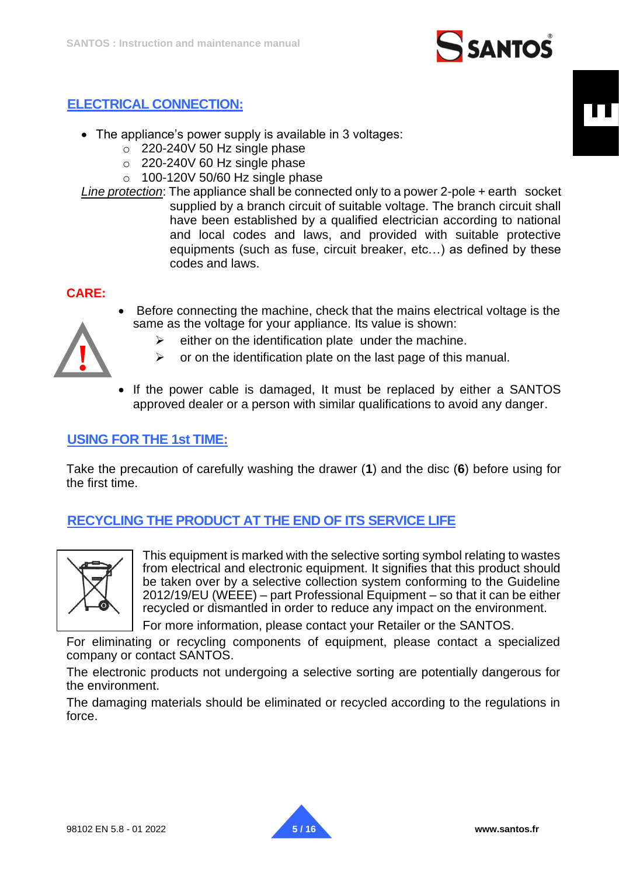# **SANTOS**

## <span id="page-4-0"></span>**ELECTRICAL CONNECTION:**

- The appliance's power supply is available in 3 voltages:
	- $\circ$  220-240V 50 Hz single phase
	- o 220-240V 60 Hz single phase
	- $\circ$  100-120V 50/60 Hz single phase
- *Line protection*: The appliance shall be connected only to a power 2-pole + earth socket supplied by a branch circuit of suitable voltage. The branch circuit shall have been established by a qualified electrician according to national and local codes and laws, and provided with suitable protective equipments (such as fuse, circuit breaker, etc…) as defined by these codes and laws.

#### **CARE:**

• Before connecting the machine, check that the mains electrical voltage is the same as the voltage for your appliance. Its value is shown:



- $\triangleright$  either on the identification plate under the machine.
- $\triangleright$  or on the identification plate on the last page of this manual.
- If the power cable is damaged, It must be replaced by either a SANTOS approved dealer or a person with similar qualifications to avoid any danger.

#### <span id="page-4-1"></span>**USING FOR THE 1st TIME:**

Take the precaution of carefully washing the drawer (**1**) and the disc (**6**) before using for the first time.

## <span id="page-4-2"></span>**RECYCLING THE PRODUCT AT THE END OF ITS SERVICE LIFE**



This equipment is marked with the selective sorting symbol relating to wastes from electrical and electronic equipment. It signifies that this product should be taken over by a selective collection system conforming to the Guideline 2012/19/EU (WEEE) – part Professional Equipment – so that it can be either recycled or dismantled in order to reduce any impact on the environment.

For more information, please contact your Retailer or the SANTOS.

For eliminating or recycling components of equipment, please contact a specialized company or contact SANTOS.

The electronic products not undergoing a selective sorting are potentially dangerous for the environment.

The damaging materials should be eliminated or recycled according to the regulations in force.

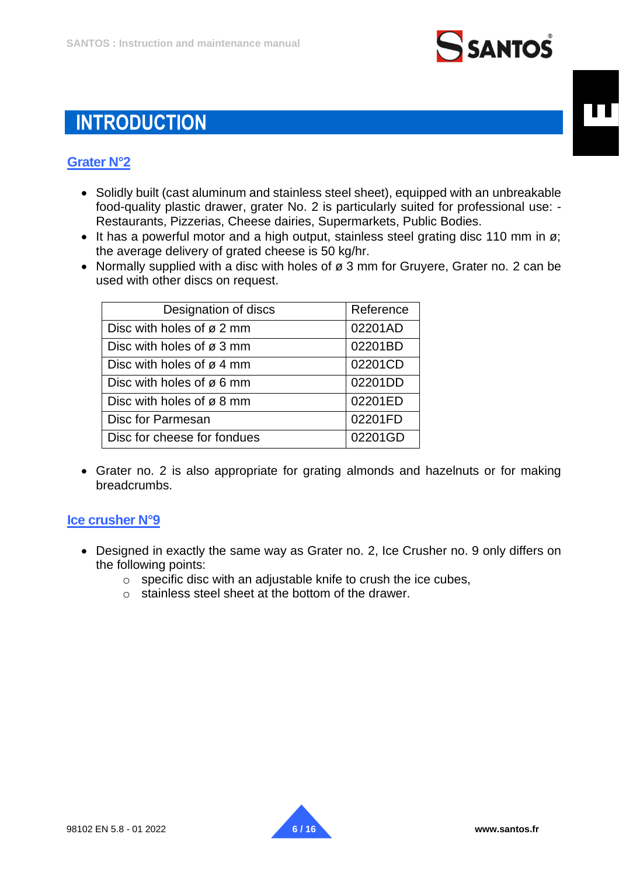

## <span id="page-5-0"></span>**INTRODUCTION**

## <span id="page-5-1"></span>**Grater N°2**

- Solidly built (cast aluminum and stainless steel sheet), equipped with an unbreakable food-quality plastic drawer, grater No. 2 is particularly suited for professional use: - Restaurants, Pizzerias, Cheese dairies, Supermarkets, Public Bodies.
- It has a powerful motor and a high output, stainless steel grating disc 110 mm in  $\varnothing$ ; the average delivery of grated cheese is 50 kg/hr.
- Normally supplied with a disc with holes of ø 3 mm for Gruvere, Grater no, 2 can be used with other discs on request.

| Designation of discs                  | Reference |
|---------------------------------------|-----------|
| Disc with holes of ø 2 mm             | 02201AD   |
| Disc with holes of $\varnothing$ 3 mm | 02201BD   |
| Disc with holes of ø 4 mm             | 02201CD   |
| Disc with holes of ø 6 mm             | 02201DD   |
| Disc with holes of $\varnothing$ 8 mm | 02201ED   |
| Disc for Parmesan                     | 02201FD   |
| Disc for cheese for fondues           | 02201GD   |

• Grater no. 2 is also appropriate for grating almonds and hazelnuts or for making breadcrumbs.

## <span id="page-5-2"></span>**Ice crusher N°9**

- Designed in exactly the same way as Grater no. 2, Ice Crusher no. 9 only differs on the following points:
	- $\circ$  specific disc with an adjustable knife to crush the ice cubes,
	- o stainless steel sheet at the bottom of the drawer.

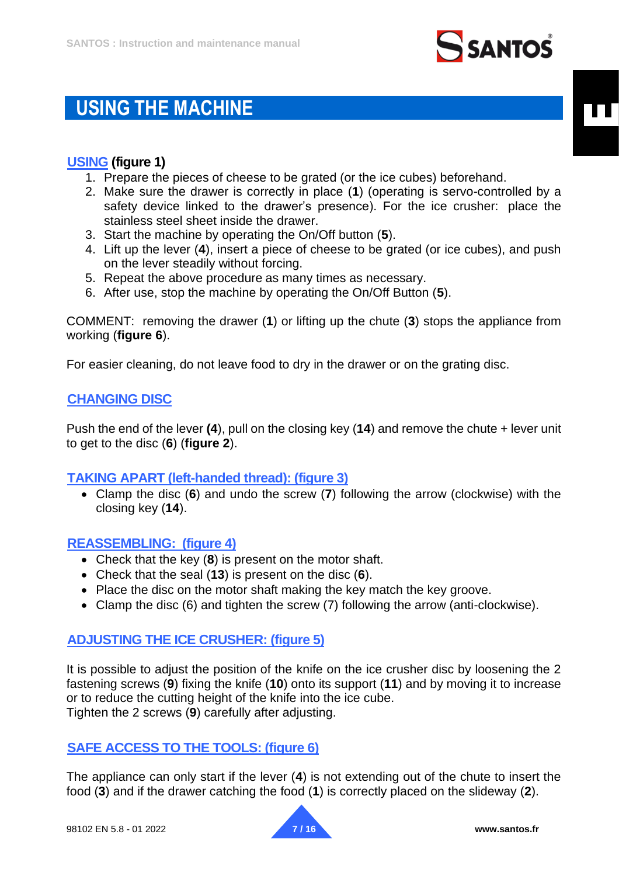

## <span id="page-6-0"></span>**USING THE MACHINE**

## <span id="page-6-1"></span>**USING (figure 1)**

- 1. Prepare the pieces of cheese to be grated (or the ice cubes) beforehand.
- 2. Make sure the drawer is correctly in place (**1**) (operating is servo-controlled by a safety device linked to the drawer's presence). For the ice crusher: place the stainless steel sheet inside the drawer.
- 3. Start the machine by operating the On/Off button (**5**).
- 4. Lift up the lever (**4**), insert a piece of cheese to be grated (or ice cubes), and push on the lever steadily without forcing.
- 5. Repeat the above procedure as many times as necessary.
- 6. After use, stop the machine by operating the On/Off Button (**5**).

COMMENT: removing the drawer (**1**) or lifting up the chute (**3**) stops the appliance from working (**figure 6**).

For easier cleaning, do not leave food to dry in the drawer or on the grating disc.

## <span id="page-6-2"></span>**CHANGING DISC**

Push the end of the lever **(4**), pull on the closing key (**14**) and remove the chute + lever unit to get to the disc (**6**) (**figure 2**).

## <span id="page-6-3"></span>**TAKING APART (left-handed thread): (figure 3)**

• Clamp the disc (**6**) and undo the screw (**7**) following the arrow (clockwise) with the closing key (**14**).

#### <span id="page-6-4"></span>**REASSEMBLING: (figure 4)**

- Check that the key (**8**) is present on the motor shaft.
- Check that the seal (**13**) is present on the disc (**6**).
- Place the disc on the motor shaft making the key match the key groove.
- Clamp the disc (6) and tighten the screw (7) following the arrow (anti-clockwise).

#### <span id="page-6-5"></span>**ADJUSTING THE ICE CRUSHER: (figure 5)**

It is possible to adjust the position of the knife on the ice crusher disc by loosening the 2 fastening screws (**9**) fixing the knife (**10**) onto its support (**11**) and by moving it to increase or to reduce the cutting height of the knife into the ice cube. Tighten the 2 screws (**9**) carefully after adjusting.

## <span id="page-6-6"></span>**SAFE ACCESS TO THE TOOLS: (figure 6)**

The appliance can only start if the lever (**4**) is not extending out of the chute to insert the food (**3**) and if the drawer catching the food (**1**) is correctly placed on the slideway (**2**).

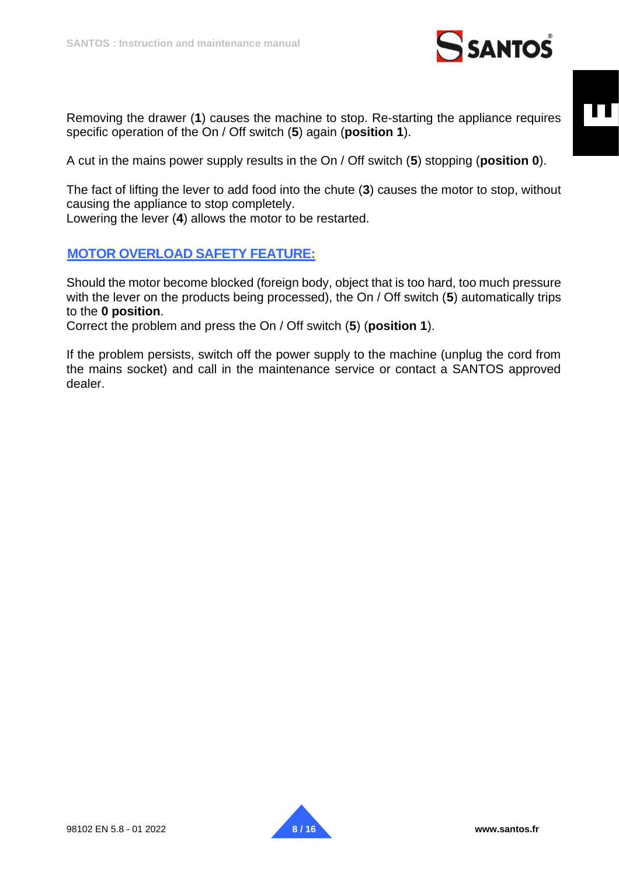

Removing the drawer (**1**) causes the machine to stop. Re-starting the appliance requires specific operation of the On / Off switch (**5**) again (**position 1**).

A cut in the mains power supply results in the On / Off switch (**5**) stopping (**position 0**).

The fact of lifting the lever to add food into the chute (**3**) causes the motor to stop, without causing the appliance to stop completely. Lowering the lever (**4**) allows the motor to be restarted.

## <span id="page-7-0"></span>**MOTOR OVERLOAD SAFETY FEATURE:**

Should the motor become blocked (foreign body, object that is too hard, too much pressure with the lever on the products being processed), the On / Off switch (**5**) automatically trips to the **0 position**.

Correct the problem and press the On / Off switch (**5**) (**position 1**).

If the problem persists, switch off the power supply to the machine (unplug the cord from the mains socket) and call in the maintenance service or contact a SANTOS approved dealer.

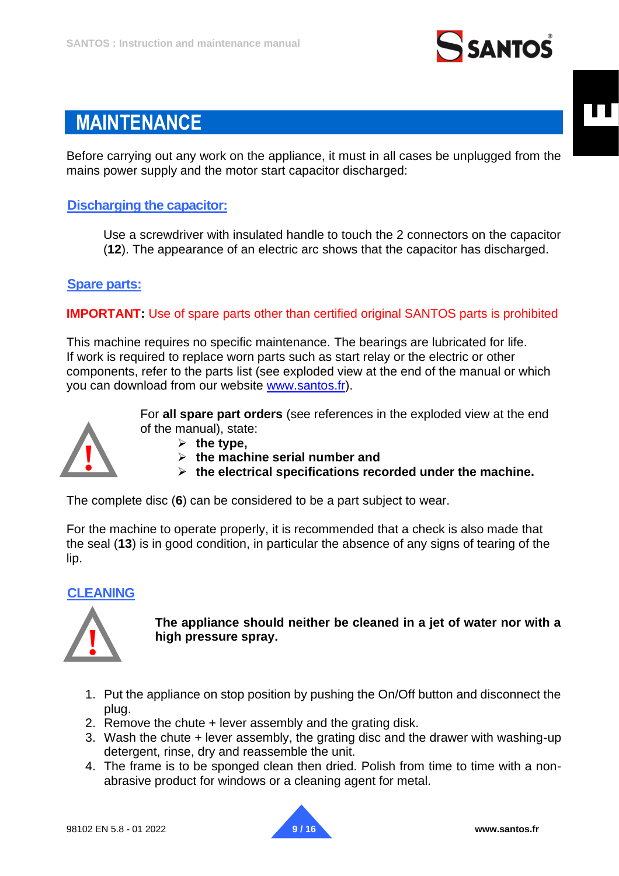

## <span id="page-8-0"></span>**MAINTENANCE**

Before carrying out any work on the appliance, it must in all cases be unplugged from the mains power supply and the motor start capacitor discharged:

## <span id="page-8-1"></span>**Discharging the capacitor:**

Use a screwdriver with insulated handle to touch the 2 connectors on the capacitor (**12**). The appearance of an electric arc shows that the capacitor has discharged.

#### <span id="page-8-2"></span>**Spare parts:**

**IMPORTANT:** Use of spare parts other than certified original SANTOS parts is prohibited

This machine requires no specific maintenance. The bearings are lubricated for life. If work is required to replace worn parts such as start relay or the electric or other components, refer to the parts list (see exploded view at the end of the manual or which you can download from our website [www.santos.fr\)](http://www.santos.fr/).



For **all spare part orders** (see references in the exploded view at the end of the manual), state:

- ➢ **the type,**
- ➢ **the machine serial number and**
- ➢ **the electrical specifications recorded under the machine.**

The complete disc (**6**) can be considered to be a part subject to wear.

For the machine to operate properly, it is recommended that a check is also made that the seal (**13**) is in good condition, in particular the absence of any signs of tearing of the lip.

## <span id="page-8-3"></span>**CLEANING**



**The appliance should neither be cleaned in a jet of water nor with a high pressure spray.**

- 1. Put the appliance on stop position by pushing the On/Off button and disconnect the plug.
- 2. Remove the chute + lever assembly and the grating disk.
- 3. Wash the chute + lever assembly, the grating disc and the drawer with washing-up detergent, rinse, dry and reassemble the unit.
- 4. The frame is to be sponged clean then dried. Polish from time to time with a nonabrasive product for windows or a cleaning agent for metal.

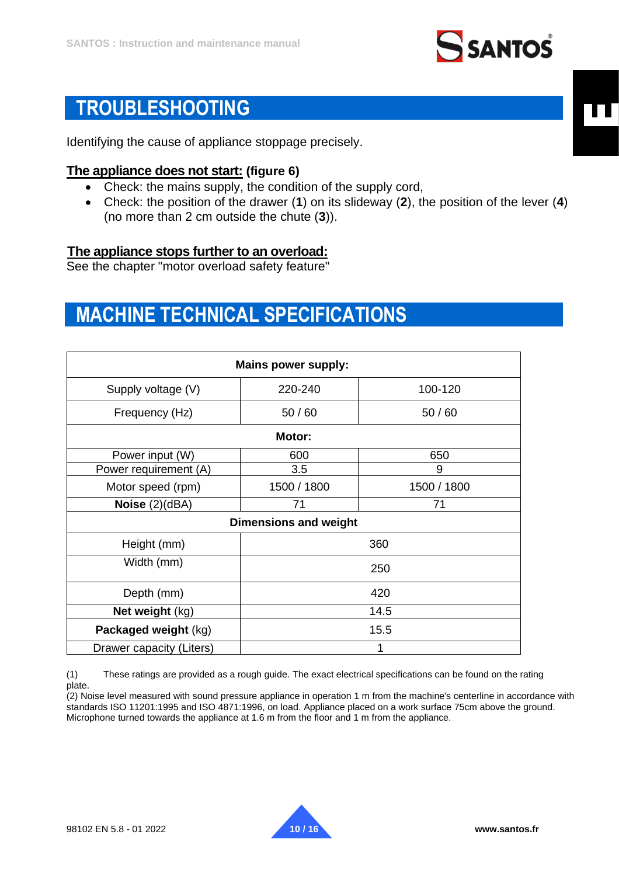

## <span id="page-9-0"></span>**TROUBLESHOOTING**

Identifying the cause of appliance stoppage precisely.

#### **The appliance does not start: (figure 6)**

- Check: the mains supply, the condition of the supply cord,
- Check: the position of the drawer (**1**) on its slideway (**2**), the position of the lever (**4**) (no more than 2 cm outside the chute (**3**)).

#### <span id="page-9-1"></span>**The appliance stops further to an overload:**

See the chapter "motor overload safety feature"

## <span id="page-9-2"></span>**MACHINE TECHNICAL SPECIFICATIONS**

| <b>Mains power supply:</b>   |             |             |
|------------------------------|-------------|-------------|
| Supply voltage (V)           | 220-240     | 100-120     |
| Frequency (Hz)               | 50/60       | 50/60       |
| Motor:                       |             |             |
| Power input (W)              | 600         | 650         |
| Power requirement (A)        | 3.5         | 9           |
| Motor speed (rpm)            | 1500 / 1800 | 1500 / 1800 |
| Noise $(2)(dBA)$             | 71          | 71          |
| <b>Dimensions and weight</b> |             |             |
| Height (mm)                  |             | 360         |
| Width (mm)                   |             | 250         |
| Depth (mm)                   | 420         |             |
| Net weight (kg)              | 14.5        |             |
| Packaged weight (kg)         | 15.5        |             |
| Drawer capacity (Liters)     | 1           |             |

(1) These ratings are provided as a rough guide. The exact electrical specifications can be found on the rating plate.

(2) Noise level measured with sound pressure appliance in operation 1 m from the machine's centerline in accordance with standards ISO 11201:1995 and ISO 4871:1996, on load. Appliance placed on a work surface 75cm above the ground. Microphone turned towards the appliance at 1.6 m from the floor and 1 m from the appliance.

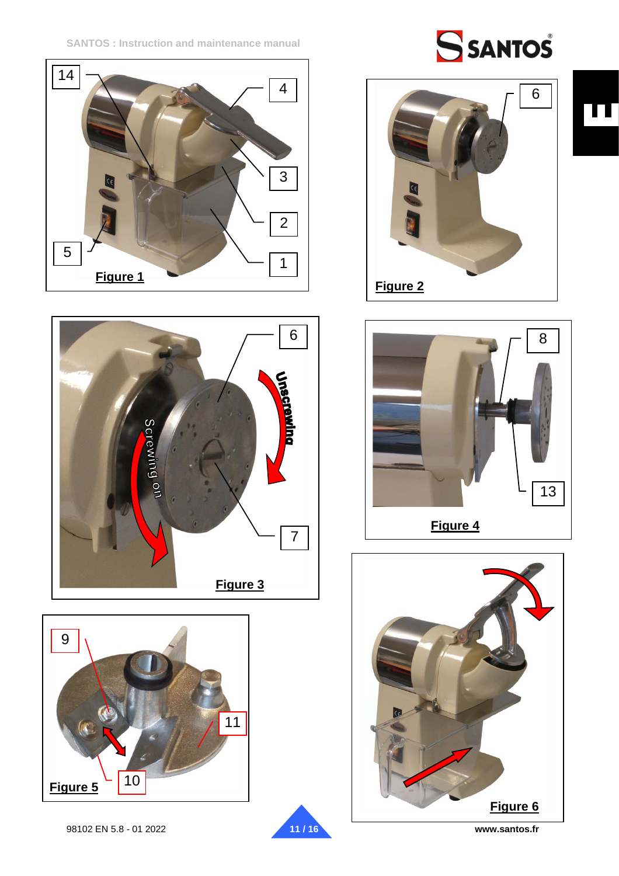**SANTOS : Instruction and maintenance manual**















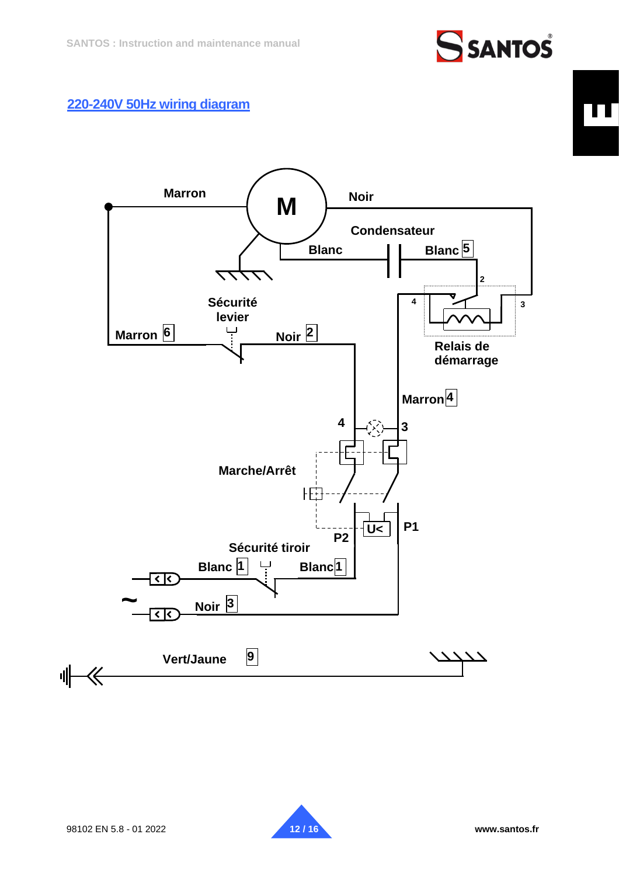# **SSANTOS**

## <span id="page-11-0"></span>**220-240V 50Hz wiring diagram**



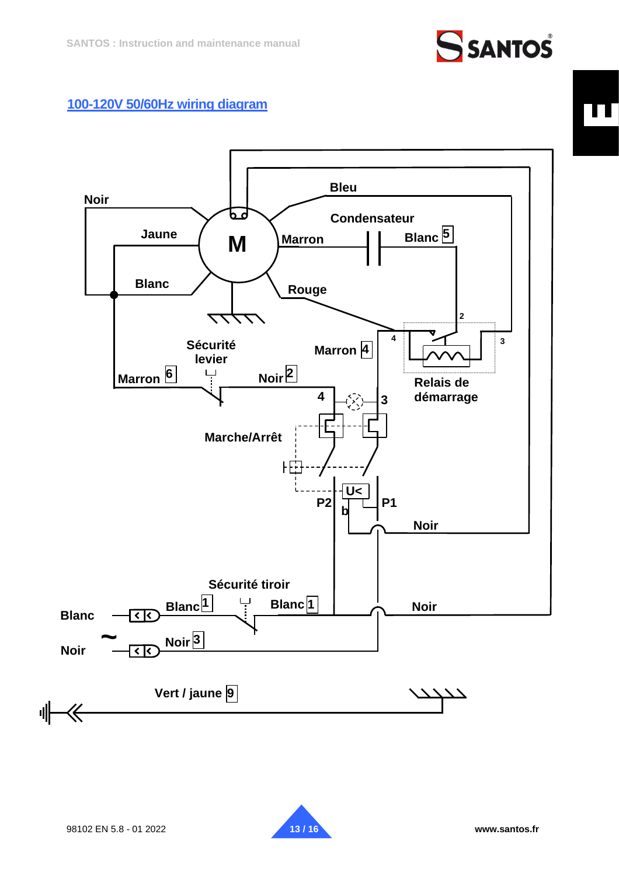

## <span id="page-12-0"></span>**100-120V 50/60Hz wiring diagram**



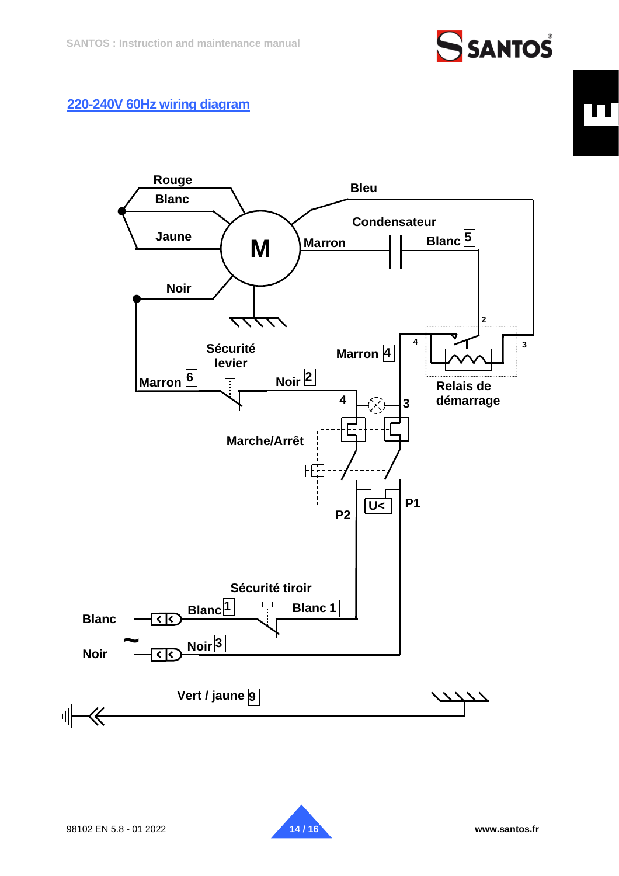# **SSANTOS**

## <span id="page-13-0"></span>**220-240V 60Hz wiring diagram**



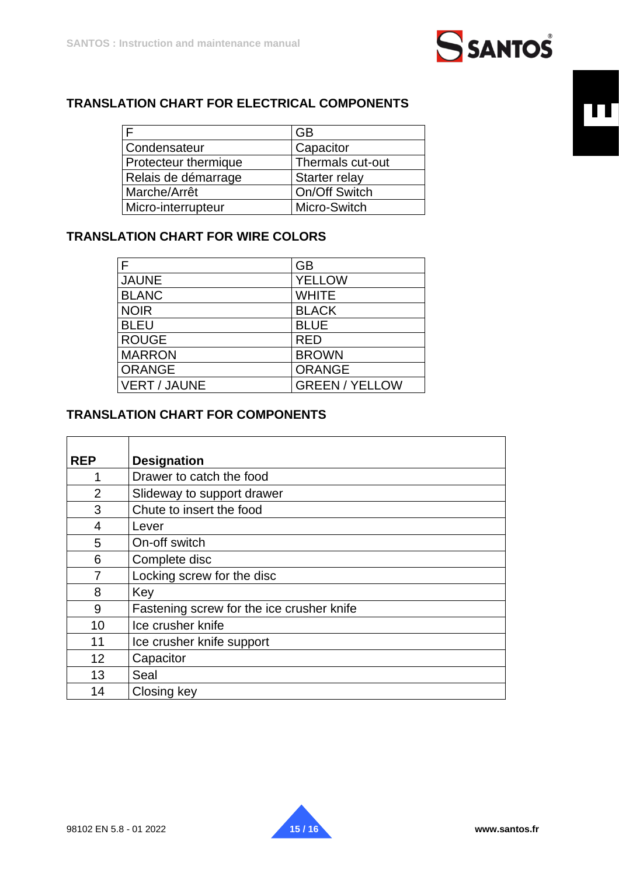

## **TRANSLATION CHART FOR ELECTRICAL COMPONENTS**

|                             | <b>GB</b>        |
|-----------------------------|------------------|
| Condensateur                | Capacitor        |
| <b>Protecteur thermique</b> | Thermals cut-out |
| Relais de démarrage         | Starter relay    |
| Marche/Arrêt                | On/Off Switch    |
| Micro-interrupteur          | Micro-Switch     |

## **TRANSLATION CHART FOR WIRE COLORS**

| F                   | <b>GB</b>             |
|---------------------|-----------------------|
| <b>JAUNE</b>        | <b>YELLOW</b>         |
| <b>BLANC</b>        | <b>WHITE</b>          |
| <b>NOIR</b>         | <b>BLACK</b>          |
| <b>BLEU</b>         | <b>BLUE</b>           |
| <b>ROUGE</b>        | <b>RED</b>            |
| <b>MARRON</b>       | <b>BROWN</b>          |
| <b>ORANGE</b>       | <b>ORANGE</b>         |
| <b>VERT / JAUNE</b> | <b>GREEN / YELLOW</b> |

## **TRANSLATION CHART FOR COMPONENTS**

| <b>REP</b>     | <b>Designation</b>                        |
|----------------|-------------------------------------------|
|                | Drawer to catch the food                  |
| $\overline{2}$ | Slideway to support drawer                |
| 3              | Chute to insert the food                  |
| 4              | Lever                                     |
| 5              | On-off switch                             |
| 6              | Complete disc                             |
|                | Locking screw for the disc                |
| 8              | Key                                       |
| 9              | Fastening screw for the ice crusher knife |
| 10             | Ice crusher knife                         |
| 11             | Ice crusher knife support                 |
| 12             | Capacitor                                 |
| 13             | Seal                                      |
| 14             | Closing key                               |